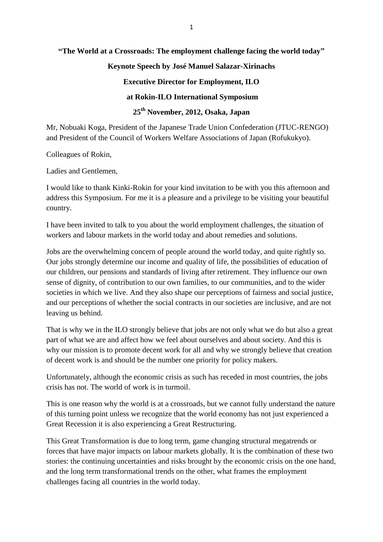### **"The World at a Crossroads: The employment challenge facing the world today"**

### **Keynote Speech by José Manuel Salazar-Xirinachs**

### **Executive Director for Employment, ILO**

### **at Rokin-ILO International Symposium**

## **25th November, 2012, Osaka, Japan**

Mr, Nobuaki Koga, President of the Japanese Trade Union Confederation (JTUC-RENGO) and President of the Council of Workers Welfare Associations of Japan (Rofukukyo).

Colleagues of Rokin,

Ladies and Gentlemen,

I would like to thank Kinki-Rokin for your kind invitation to be with you this afternoon and address this Symposium. For me it is a pleasure and a privilege to be visiting your beautiful country.

I have been invited to talk to you about the world employment challenges, the situation of workers and labour markets in the world today and about remedies and solutions.

Jobs are the overwhelming concern of people around the world today, and quite rightly so. Our jobs strongly determine our income and quality of life, the possibilities of education of our children, our pensions and standards of living after retirement. They influence our own sense of dignity, of contribution to our own families, to our communities, and to the wider societies in which we live. And they also shape our perceptions of fairness and social justice, and our perceptions of whether the social contracts in our societies are inclusive, and are not leaving us behind.

That is why we in the ILO strongly believe that jobs are not only what we do but also a great part of what we are and affect how we feel about ourselves and about society. And this is why our mission is to promote decent work for all and why we strongly believe that creation of decent work is and should be the number one priority for policy makers.

Unfortunately, although the economic crisis as such has receded in most countries, the jobs crisis has not. The world of work is in turmoil.

This is one reason why the world is at a crossroads, but we cannot fully understand the nature of this turning point unless we recognize that the world economy has not just experienced a Great Recession it is also experiencing a Great Restructuring.

This Great Transformation is due to long term, game changing structural megatrends or forces that have major impacts on labour markets globally. It is the combination of these two stories: the continuing uncertainties and risks brought by the economic crisis on the one hand, and the long term transformational trends on the other, what frames the employment challenges facing all countries in the world today.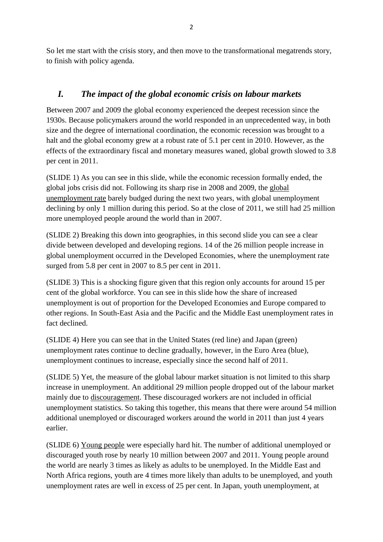So let me start with the crisis story, and then move to the transformational megatrends story, to finish with policy agenda.

# *I. The impact of the global economic crisis on labour markets*

Between 2007 and 2009 the global economy experienced the deepest recession since the 1930s. Because policymakers around the world responded in an unprecedented way, in both size and the degree of international coordination, the economic recession was brought to a halt and the global economy grew at a robust rate of 5.1 per cent in 2010. However, as the effects of the extraordinary fiscal and monetary measures waned, global growth slowed to 3.8 per cent in 2011.

(SLIDE 1) As you can see in this slide, while the economic recession formally ended, the global jobs crisis did not. Following its sharp rise in 2008 and 2009, the global unemployment rate barely budged during the next two years, with global unemployment declining by only 1 million during this period. So at the close of 2011, we still had 25 million more unemployed people around the world than in 2007.

(SLIDE 2) Breaking this down into geographies, in this second slide you can see a clear divide between developed and developing regions. 14 of the 26 million people increase in global unemployment occurred in the Developed Economies, where the unemployment rate surged from 5.8 per cent in 2007 to 8.5 per cent in 2011.

(SLIDE 3) This is a shocking figure given that this region only accounts for around 15 per cent of the global workforce. You can see in this slide how the share of increased unemployment is out of proportion for the Developed Economies and Europe compared to other regions. In South-East Asia and the Pacific and the Middle East unemployment rates in fact declined.

(SLIDE 4) Here you can see that in the United States (red line) and Japan (green) unemployment rates continue to decline gradually, however, in the Euro Area (blue), unemployment continues to increase, especially since the second half of 2011.

(SLIDE 5) Yet, the measure of the global labour market situation is not limited to this sharp increase in unemployment. An additional 29 million people dropped out of the labour market mainly due to discouragement. These discouraged workers are not included in official unemployment statistics. So taking this together, this means that there were around 54 million additional unemployed or discouraged workers around the world in 2011 than just 4 years earlier.

(SLIDE 6) Young people were especially hard hit. The number of additional unemployed or discouraged youth rose by nearly 10 million between 2007 and 2011. Young people around the world are nearly 3 times as likely as adults to be unemployed. In the Middle East and North Africa regions, youth are 4 times more likely than adults to be unemployed, and youth unemployment rates are well in excess of 25 per cent. In Japan, youth unemployment, at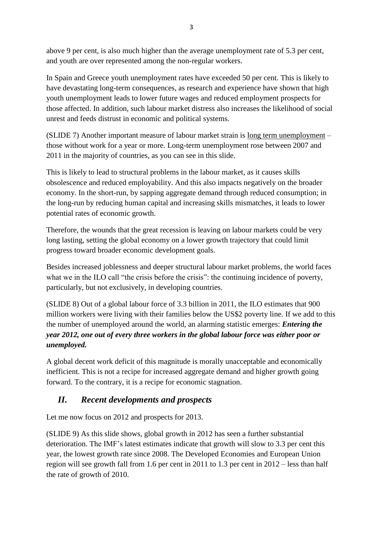above 9 per cent, is also much higher than the average unemployment rate of 5.3 per cent, and youth are over represented among the non-regular workers.

In Spain and Greece youth unemployment rates have exceeded 50 per cent. This is likely to have devastating long-term consequences, as research and experience have shown that high youth unemployment leads to lower future wages and reduced employment prospects for those affected. In addition, such labour market distress also increases the likelihood of social unrest and feeds distrust in economic and political systems.

(SLIDE 7) Another important measure of labour market strain is long term unemployment – those without work for a year or more. Long-term unemployment rose between 2007 and 2011 in the majority of countries, as you can see in this slide.

This is likely to lead to structural problems in the labour market, as it causes skills obsolescence and reduced employability. And this also impacts negatively on the broader economy. In the short-run, by sapping aggregate demand through reduced consumption; in the long-run by reducing human capital and increasing skills mismatches, it leads to lower potential rates of economic growth.

Therefore, the wounds that the great recession is leaving on labour markets could be very long lasting, setting the global economy on a lower growth trajectory that could limit progress toward broader economic development goals.

Besides increased joblessness and deeper structural labour market problems, the world faces what we in the ILO call "the crisis before the crisis": the continuing incidence of poverty, particularly, but not exclusively, in developing countries.

(SLIDE 8) Out of a global labour force of 3.3 billion in 2011, the ILO estimates that 900 million workers were living with their families below the US\$2 poverty line. If we add to this the number of unemployed around the world, an alarming statistic emerges: *Entering the year 2012, one out of every three workers in the global labour force was either poor or unemployed.*

A global decent work deficit of this magnitude is morally unacceptable and economically inefficient. This is not a recipe for increased aggregate demand and higher growth going forward. To the contrary, it is a recipe for economic stagnation.

# *II. Recent developments and prospects*

Let me now focus on 2012 and prospects for 2013.

(SLIDE 9) As this slide shows, global growth in 2012 has seen a further substantial deterioration. The IMF's latest estimates indicate that growth will slow to 3.3 per cent this year, the lowest growth rate since 2008. The Developed Economies and European Union region will see growth fall from 1.6 per cent in 2011 to 1.3 per cent in 2012 – less than half the rate of growth of 2010.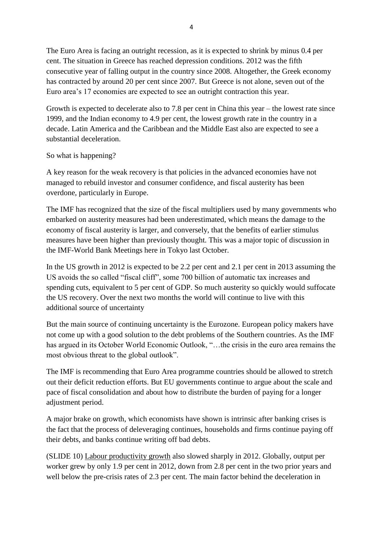The Euro Area is facing an outright recession, as it is expected to shrink by minus 0.4 per cent. The situation in Greece has reached depression conditions. 2012 was the fifth consecutive year of falling output in the country since 2008. Altogether, the Greek economy has contracted by around 20 per cent since 2007. But Greece is not alone, seven out of the Euro area's 17 economies are expected to see an outright contraction this year.

Growth is expected to decelerate also to 7.8 per cent in China this year – the lowest rate since 1999, and the Indian economy to 4.9 per cent, the lowest growth rate in the country in a decade. Latin America and the Caribbean and the Middle East also are expected to see a substantial deceleration.

### So what is happening?

A key reason for the weak recovery is that policies in the advanced economies have not managed to rebuild investor and consumer confidence, and fiscal austerity has been overdone, particularly in Europe.

The IMF has recognized that the size of the fiscal multipliers used by many governments who embarked on austerity measures had been underestimated, which means the damage to the economy of fiscal austerity is larger, and conversely, that the benefits of earlier stimulus measures have been higher than previously thought. This was a major topic of discussion in the IMF-World Bank Meetings here in Tokyo last October.

In the US growth in 2012 is expected to be 2.2 per cent and 2.1 per cent in 2013 assuming the US avoids the so called "fiscal cliff", some 700 billion of automatic tax increases and spending cuts, equivalent to 5 per cent of GDP. So much austerity so quickly would suffocate the US recovery. Over the next two months the world will continue to live with this additional source of uncertainty

But the main source of continuing uncertainty is the Eurozone. European policy makers have not come up with a good solution to the debt problems of the Southern countries. As the IMF has argued in its October World Economic Outlook, "…the crisis in the euro area remains the most obvious threat to the global outlook".

The IMF is recommending that Euro Area programme countries should be allowed to stretch out their deficit reduction efforts. But EU governments continue to argue about the scale and pace of fiscal consolidation and about how to distribute the burden of paying for a longer adjustment period.

A major brake on growth, which economists have shown is intrinsic after banking crises is the fact that the process of deleveraging continues, households and firms continue paying off their debts, and banks continue writing off bad debts.

(SLIDE 10) Labour productivity growth also slowed sharply in 2012. Globally, output per worker grew by only 1.9 per cent in 2012, down from 2.8 per cent in the two prior years and well below the pre-crisis rates of 2.3 per cent. The main factor behind the deceleration in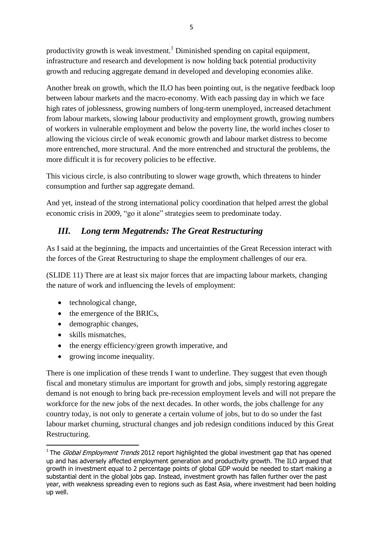productivity growth is weak investment.<sup>1</sup> Diminished spending on capital equipment, infrastructure and research and development is now holding back potential productivity growth and reducing aggregate demand in developed and developing economies alike.

Another break on growth, which the ILO has been pointing out, is the negative feedback loop between labour markets and the macro-economy. With each passing day in which we face high rates of joblessness, growing numbers of long-term unemployed, increased detachment from labour markets, slowing labour productivity and employment growth, growing numbers of workers in vulnerable employment and below the poverty line, the world inches closer to allowing the vicious circle of weak economic growth and labour market distress to become more entrenched, more structural. And the more entrenched and structural the problems, the more difficult it is for recovery policies to be effective.

This vicious circle, is also contributing to slower wage growth, which threatens to hinder consumption and further sap aggregate demand.

And yet, instead of the strong international policy coordination that helped arrest the global economic crisis in 2009, "go it alone" strategies seem to predominate today.

# *III. Long term Megatrends: The Great Restructuring*

As I said at the beginning, the impacts and uncertainties of the Great Recession interact with the forces of the Great Restructuring to shape the employment challenges of our era.

(SLIDE 11) There are at least six major forces that are impacting labour markets, changing the nature of work and influencing the levels of employment:

- technological change,
- $\bullet$  the emergence of the BRICs,
- demographic changes,
- skills mismatches,

 $\overline{a}$ 

- $\bullet$  the energy efficiency/green growth imperative, and
- growing income inequality.

There is one implication of these trends I want to underline. They suggest that even though fiscal and monetary stimulus are important for growth and jobs, simply restoring aggregate demand is not enough to bring back pre-recession employment levels and will not prepare the workforce for the new jobs of the next decades. In other words, the jobs challenge for any country today, is not only to generate a certain volume of jobs, but to do so under the fast labour market churning, structural changes and job redesign conditions induced by this Great Restructuring.

<sup>&</sup>lt;sup>1</sup> The *Global Employment Trends* 2012 report highlighted the global investment gap that has opened up and has adversely affected employment generation and productivity growth. The ILO argued that growth in investment equal to 2 percentage points of global GDP would be needed to start making a substantial dent in the global jobs gap. Instead, investment growth has fallen further over the past year, with weakness spreading even to regions such as East Asia, where investment had been holding up well.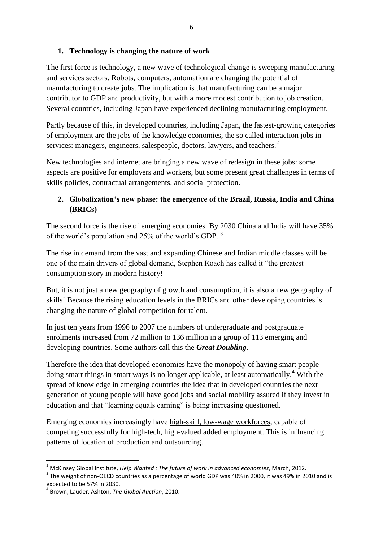### **1. Technology is changing the nature of work**

The first force is technology, a new wave of technological change is sweeping manufacturing and services sectors. Robots, computers, automation are changing the potential of manufacturing to create jobs. The implication is that manufacturing can be a major contributor to GDP and productivity, but with a more modest contribution to job creation. Several countries, including Japan have experienced declining manufacturing employment.

Partly because of this, in developed countries, including Japan, the fastest-growing categories of employment are the jobs of the knowledge economies, the so called interaction jobs in services: managers, engineers, salespeople, doctors, lawyers, and teachers.<sup>2</sup>

New technologies and internet are bringing a new wave of redesign in these jobs: some aspects are positive for employers and workers, but some present great challenges in terms of skills policies, contractual arrangements, and social protection.

### **2. Globalization's new phase: the emergence of the Brazil, Russia, India and China (BRICs)**

The second force is the rise of emerging economies. By 2030 China and India will have 35% of the world's population and 25% of the world's GDP. <sup>3</sup>

The rise in demand from the vast and expanding Chinese and Indian middle classes will be one of the main drivers of global demand, Stephen Roach has called it "the greatest consumption story in modern history!

But, it is not just a new geography of growth and consumption, it is also a new geography of skills! Because the rising education levels in the BRICs and other developing countries is changing the nature of global competition for talent.

In just ten years from 1996 to 2007 the numbers of undergraduate and postgraduate enrolments increased from 72 million to 136 million in a group of 113 emerging and developing countries. Some authors call this the *Great Doubling*.

Therefore the idea that developed economies have the monopoly of having smart people doing smart things in smart ways is no longer applicable, at least automatically.<sup>4</sup> With the spread of knowledge in emerging countries the idea that in developed countries the next generation of young people will have good jobs and social mobility assured if they invest in education and that "learning equals earning" is being increasing questioned.

Emerging economies increasingly have high-skill, low-wage workforces, capable of competing successfully for high-tech, high-valued added employment. This is influencing patterns of location of production and outsourcing.

**.** 

<sup>2</sup> McKinsey Global Institute, *Help Wanted : The future of work in advanced economies*, March, 2012.

 $3$  The weight of non-OECD countries as a percentage of world GDP was 40% in 2000, it was 49% in 2010 and is expected to be 57% in 2030.

<sup>4</sup> Brown, Lauder, Ashton, *The Global Auction*, 2010.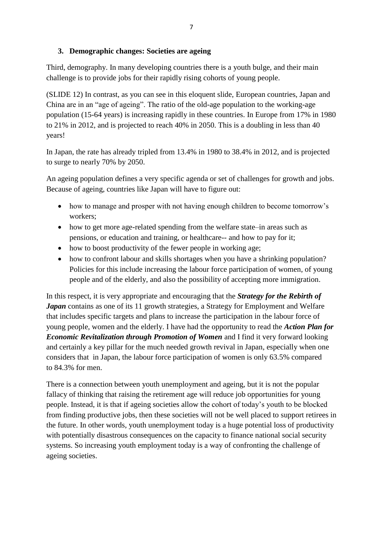### **3. Demographic changes: Societies are ageing**

Third, demography. In many developing countries there is a youth bulge, and their main challenge is to provide jobs for their rapidly rising cohorts of young people.

(SLIDE 12) In contrast, as you can see in this eloquent slide, European countries, Japan and China are in an "age of ageing". The ratio of the old-age population to the working-age population (15-64 years) is increasing rapidly in these countries. In Europe from 17% in 1980 to 21% in 2012, and is projected to reach 40% in 2050. This is a doubling in less than 40 years!

In Japan, the rate has already tripled from 13.4% in 1980 to 38.4% in 2012, and is projected to surge to nearly 70% by 2050.

An ageing population defines a very specific agenda or set of challenges for growth and jobs. Because of ageing, countries like Japan will have to figure out:

- how to manage and prosper with not having enough children to become tomorrow's workers;
- how to get more age-related spending from the welfare state–in areas such as pensions, or education and training, or healthcare-- and how to pay for it;
- how to boost productivity of the fewer people in working age;
- how to confront labour and skills shortages when you have a shrinking population? Policies for this include increasing the labour force participation of women, of young people and of the elderly, and also the possibility of accepting more immigration.

In this respect, it is very appropriate and encouraging that the *Strategy for the Rebirth of Japan* contains as one of its 11 growth strategies, a Strategy for Employment and Welfare that includes specific targets and plans to increase the participation in the labour force of young people, women and the elderly. I have had the opportunity to read the *Action Plan for Economic Revitalization through Promotion of Women* and I find it very forward looking and certainly a key pillar for the much needed growth revival in Japan, especially when one considers that in Japan, the labour force participation of women is only 63.5% compared to 84.3% for men.

There is a connection between youth unemployment and ageing, but it is not the popular fallacy of thinking that raising the retirement age will reduce job opportunities for young people. Instead, it is that if ageing societies allow the cohort of today's youth to be blocked from finding productive jobs, then these societies will not be well placed to support retirees in the future. In other words, youth unemployment today is a huge potential loss of productivity with potentially disastrous consequences on the capacity to finance national social security systems. So increasing youth employment today is a way of confronting the challenge of ageing societies.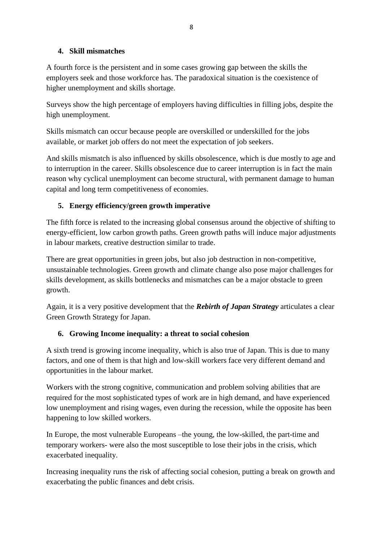### **4. Skill mismatches**

A fourth force is the persistent and in some cases growing gap between the skills the employers seek and those workforce has. The paradoxical situation is the coexistence of higher unemployment and skills shortage.

Surveys show the high percentage of employers having difficulties in filling jobs, despite the high unemployment.

Skills mismatch can occur because people are overskilled or underskilled for the jobs available, or market job offers do not meet the expectation of job seekers.

And skills mismatch is also influenced by skills obsolescence, which is due mostly to age and to interruption in the career. Skills obsolescence due to career interruption is in fact the main reason why cyclical unemployment can become structural, with permanent damage to human capital and long term competitiveness of economies.

# **5. Energy efficiency/green growth imperative**

The fifth force is related to the increasing global consensus around the objective of shifting to energy-efficient, low carbon growth paths. Green growth paths will induce major adjustments in labour markets, creative destruction similar to trade.

There are great opportunities in green jobs, but also job destruction in non-competitive, unsustainable technologies. Green growth and climate change also pose major challenges for skills development, as skills bottlenecks and mismatches can be a major obstacle to green growth.

Again, it is a very positive development that the *Rebirth of Japan Strategy* articulates a clear Green Growth Strategy for Japan.

# **6. Growing Income inequality: a threat to social cohesion**

A sixth trend is growing income inequality, which is also true of Japan. This is due to many factors, and one of them is that high and low-skill workers face very different demand and opportunities in the labour market.

Workers with the strong cognitive, communication and problem solving abilities that are required for the most sophisticated types of work are in high demand, and have experienced low unemployment and rising wages, even during the recession, while the opposite has been happening to low skilled workers.

In Europe, the most vulnerable Europeans –the young, the low-skilled, the part-time and temporary workers- were also the most susceptible to lose their jobs in the crisis, which exacerbated inequality.

Increasing inequality runs the risk of affecting social cohesion, putting a break on growth and exacerbating the public finances and debt crisis.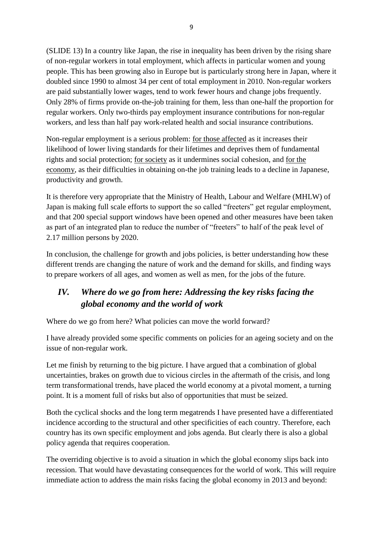(SLIDE 13) In a country like Japan, the rise in inequality has been driven by the rising share of non-regular workers in total employment, which affects in particular women and young people. This has been growing also in Europe but is particularly strong here in Japan, where it doubled since 1990 to almost 34 per cent of total employment in 2010. Non-regular workers are paid substantially lower wages, tend to work fewer hours and change jobs frequently. Only 28% of firms provide on-the-job training for them, less than one-half the proportion for regular workers. Only two-thirds pay employment insurance contributions for non-regular workers, and less than half pay work-related health and social insurance contributions.

Non-regular employment is a serious problem: for those affected as it increases their likelihood of lower living standards for their lifetimes and deprives them of fundamental rights and social protection; for society as it undermines social cohesion, and for the economy, as their difficulties in obtaining on-the job training leads to a decline in Japanese, productivity and growth.

It is therefore very appropriate that the Ministry of Health, Labour and Welfare (MHLW) of Japan is making full scale efforts to support the so called "freeters" get regular employment, and that 200 special support windows have been opened and other measures have been taken as part of an integrated plan to reduce the number of "freeters" to half of the peak level of 2.17 million persons by 2020.

In conclusion, the challenge for growth and jobs policies, is better understanding how these different trends are changing the nature of work and the demand for skills, and finding ways to prepare workers of all ages, and women as well as men, for the jobs of the future.

# *IV. Where do we go from here: Addressing the key risks facing the global economy and the world of work*

Where do we go from here? What policies can move the world forward?

I have already provided some specific comments on policies for an ageing society and on the issue of non-regular work.

Let me finish by returning to the big picture. I have argued that a combination of global uncertainties, brakes on growth due to vicious circles in the aftermath of the crisis, and long term transformational trends, have placed the world economy at a pivotal moment, a turning point. It is a moment full of risks but also of opportunities that must be seized.

Both the cyclical shocks and the long term megatrends I have presented have a differentiated incidence according to the structural and other specificities of each country. Therefore, each country has its own specific employment and jobs agenda. But clearly there is also a global policy agenda that requires cooperation.

The overriding objective is to avoid a situation in which the global economy slips back into recession. That would have devastating consequences for the world of work. This will require immediate action to address the main risks facing the global economy in 2013 and beyond: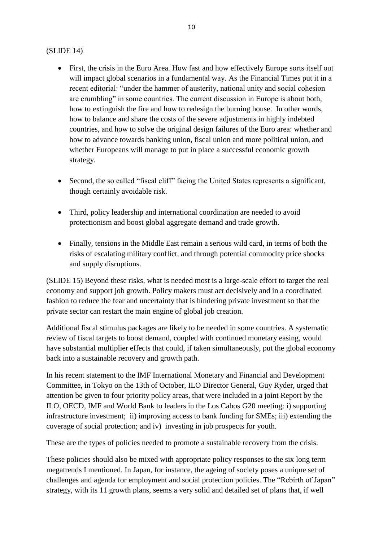#### (SLIDE 14)

- First, the crisis in the Euro Area. How fast and how effectively Europe sorts itself out will impact global scenarios in a fundamental way. As the Financial Times put it in a recent editorial: "under the hammer of austerity, national unity and social cohesion are crumbling" in some countries. The current discussion in Europe is about both, how to extinguish the fire and how to redesign the burning house. In other words, how to balance and share the costs of the severe adjustments in highly indebted countries, and how to solve the original design failures of the Euro area: whether and how to advance towards banking union, fiscal union and more political union, and whether Europeans will manage to put in place a successful economic growth strategy.
- Second, the so called "fiscal cliff" facing the United States represents a significant, though certainly avoidable risk.
- Third, policy leadership and international coordination are needed to avoid protectionism and boost global aggregate demand and trade growth.
- Finally, tensions in the Middle East remain a serious wild card, in terms of both the risks of escalating military conflict, and through potential commodity price shocks and supply disruptions.

(SLIDE 15) Beyond these risks, what is needed most is a large-scale effort to target the real economy and support job growth. Policy makers must act decisively and in a coordinated fashion to reduce the fear and uncertainty that is hindering private investment so that the private sector can restart the main engine of global job creation.

Additional fiscal stimulus packages are likely to be needed in some countries. A systematic review of fiscal targets to boost demand, coupled with continued monetary easing, would have substantial multiplier effects that could, if taken simultaneously, put the global economy back into a sustainable recovery and growth path.

In his recent statement to the IMF International Monetary and Financial and Development Committee, in Tokyo on the 13th of October, ILO Director General, Guy Ryder, urged that attention be given to four priority policy areas, that were included in a joint Report by the ILO, OECD, IMF and World Bank to leaders in the Los Cabos G20 meeting: i) supporting infrastructure investment; ii) improving access to bank funding for SMEs; iii) extending the coverage of social protection; and iv) investing in job prospects for youth.

These are the types of policies needed to promote a sustainable recovery from the crisis.

These policies should also be mixed with appropriate policy responses to the six long term megatrends I mentioned. In Japan, for instance, the ageing of society poses a unique set of challenges and agenda for employment and social protection policies. The "Rebirth of Japan" strategy, with its 11 growth plans, seems a very solid and detailed set of plans that, if well